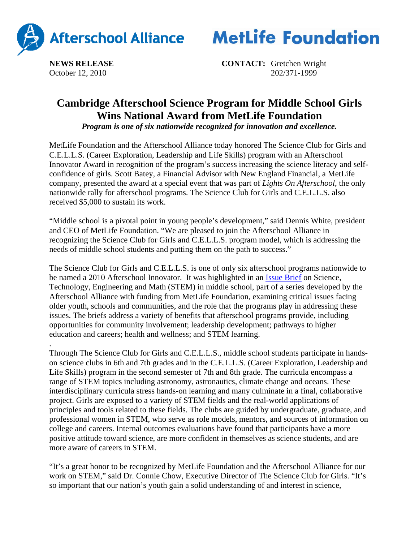



**NEWS RELEASE CONTACT:** Gretchen Wright October 12, 2010202/371-1999

## **Cambridge Afterschool Science Program for Middle School Girls Wins National Award from MetLife Foundation**

*Program is one of six nationwide recognized for innovation and excellence.*

MetLife Foundation and the Afterschool Alliance today honored The Science Club for Girls and C.E.L.L.S. (Career Exploration, Leadership and Life Skills) program with an Afterschool Innovator Award in recognition of the program's success increasing the science literacy and selfconfidence of girls. Scott Batey, a Financial Advisor with New England Financial, a MetLife company, presented the award at a special event that was part of *Lights On Afterschool*, the only nationwide rally for afterschool programs. The Science Club for Girls and C.E.L.L.S. also received \$5,000 to sustain its work.

"Middle school is a pivotal point in young people's development," said Dennis White, president and CEO of MetLife Foundation. "We are pleased to join the Afterschool Alliance in recognizing the Science Club for Girls and C.E.L.L.S. program model, which is addressing the needs of middle school students and putting them on the path to success."

The Science Club for Girls and C.E.L.L.S. is one of only six afterschool programs nationwide to be named a 2010 Afterschool Innovator. It was highlighted in an Issue Brief on Science, Technology, Engineering and Math (STEM) in middle school, part of a series developed by the Afterschool Alliance with funding from MetLife Foundation, examining critical issues facing older youth, schools and communities, and the role that the programs play in addressing these issues. The briefs address a variety of benefits that afterschool programs provide, including opportunities for community involvement; leadership development; pathways to higher education and careers; health and wellness; and STEM learning.

. Through The Science Club for Girls and C.E.L.L.S., middle school students participate in handson science clubs in 6th and 7th grades and in the C.E.L.L.S. (Career Exploration, Leadership and Life Skills) program in the second semester of 7th and 8th grade. The curricula encompass a range of STEM topics including astronomy, astronautics, climate change and oceans. These interdisciplinary curricula stress hands-on learning and many culminate in a final, collaborative project. Girls are exposed to a variety of STEM fields and the real-world applications of principles and tools related to these fields. The clubs are guided by undergraduate, graduate, and professional women in STEM, who serve as role models, mentors, and sources of information on college and careers. Internal outcomes evaluations have found that participants have a more positive attitude toward science, are more confident in themselves as science students, and are more aware of careers in STEM.

"It's a great honor to be recognized by MetLife Foundation and the Afterschool Alliance for our work on STEM," said Dr. Connie Chow, Executive Director of The Science Club for Girls. "It's so important that our nation's youth gain a solid understanding of and interest in science,